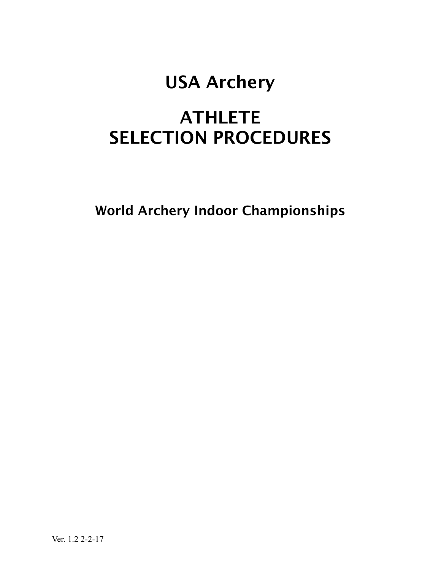## USA Archery

## **ATHLETE** SELECTION PROCEDURES

World Archery Indoor Championships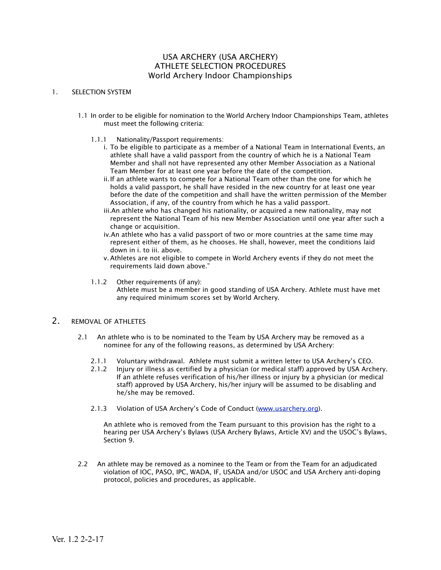#### USA ARCHERY (USA ARCHERY) ATHLETE SELECTION PROCEDURES World Archery Indoor Championships

#### 1. SELECTION SYSTEM

- 1.1 In order to be eligible for nomination to the World Archery Indoor Championships Team, athletes must meet the following criteria:
	- 1.1.1 Nationality/Passport requirements:
		- i. To be eligible to participate as a member of a National Team in International Events, an athlete shall have a valid passport from the country of which he is a National Team Member and shall not have represented any other Member Association as a National Team Member for at least one year before the date of the competition.
		- ii.If an athlete wants to compete for a National Team other than the one for which he holds a valid passport, he shall have resided in the new country for at least one year before the date of the competition and shall have the written permission of the Member Association, if any, of the country from which he has a valid passport.
		- iii.An athlete who has changed his nationality, or acquired a new nationality, may not represent the National Team of his new Member Association until one year after such a change or acquisition.
		- iv.An athlete who has a valid passport of two or more countries at the same time may represent either of them, as he chooses. He shall, however, meet the conditions laid down in i. to iii. above.
		- v.Athletes are not eligible to compete in World Archery events if they do not meet the requirements laid down above."
	- 1.1.2 Other requirements (if any): Athlete must be a member in good standing of USA Archery. Athlete must have met any required minimum scores set by World Archery.

#### 2. REMOVAL OF ATHLETES

- 2.1 An athlete who is to be nominated to the Team by USA Archery may be removed as a nominee for any of the following reasons, as determined by USA Archery:
	- 2.1.1 Voluntary withdrawal. Athlete must submit a written letter to USA Archery's CEO.
	- 2.1.2 Injury or illness as certified by a physician (or medical staff) approved by USA Archery. If an athlete refuses verification of his/her illness or injury by a physician (or medical staff) approved by USA Archery, his/her injury will be assumed to be disabling and he/she may be removed.
	- 2.1.3 Violation of USA Archery's Code of Conduct [\(www.usarchery.org](http://www.usarchery.org)).

An athlete who is removed from the Team pursuant to this provision has the right to a hearing per USA Archery's Bylaws (USA Archery Bylaws, Article XV) and the USOC's Bylaws, Section 9.

2.2 An athlete may be removed as a nominee to the Team or from the Team for an adjudicated violation of IOC, PASO, IPC, WADA, IF, USADA and/or USOC and USA Archery anti-doping protocol, policies and procedures, as applicable.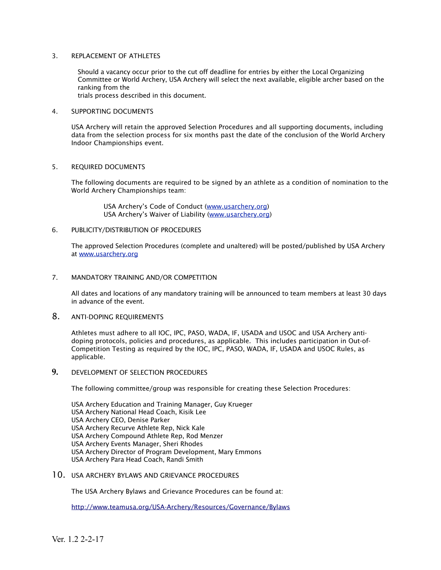#### 3. REPLACEMENT OF ATHLETES

Should a vacancy occur prior to the cut off deadline for entries by either the Local Organizing Committee or World Archery, USA Archery will select the next available, eligible archer based on the ranking from the

trials process described in this document.

#### 4. SUPPORTING DOCUMENTS

USA Archery will retain the approved Selection Procedures and all supporting documents, including data from the selection process for six months past the date of the conclusion of the World Archery Indoor Championships event.

#### 5. REQUIRED DOCUMENTS

The following documents are required to be signed by an athlete as a condition of nomination to the World Archery Championships team:

> USA Archery's Code of Conduct [\(www.usarchery.org\)](http://www.usarchery.org) USA Archery's Waiver of Liability ([www.usarchery.org](http://www.usarchery.org))

#### 6. PUBLICITY/DISTRIBUTION OF PROCEDURES

The approved Selection Procedures (complete and unaltered) will be posted/published by USA Archery at [www.usarchery.org](http://www.usarchery.org)

#### 7. MANDATORY TRAINING AND/OR COMPETITION

All dates and locations of any mandatory training will be announced to team members at least 30 days in advance of the event.

#### 8. ANTI-DOPING REQUIREMENTS

Athletes must adhere to all IOC, IPC, PASO, WADA, IF, USADA and USOC and USA Archery antidoping protocols, policies and procedures, as applicable. This includes participation in Out-of-Competition Testing as required by the IOC, IPC, PASO, WADA, IF, USADA and USOC Rules, as applicable.

#### **9.** DEVELOPMENT OF SELECTION PROCEDURES

The following committee/group was responsible for creating these Selection Procedures:

USA Archery Education and Training Manager, Guy Krueger USA Archery National Head Coach, Kisik Lee USA Archery CEO, Denise Parker USA Archery Recurve Athlete Rep, Nick Kale USA Archery Compound Athlete Rep, Rod Menzer USA Archery Events Manager, Sheri Rhodes USA Archery Director of Program Development, Mary Emmons USA Archery Para Head Coach, Randi Smith

10. USA ARCHERY BYLAWS AND GRIEVANCE PROCEDURES

The USA Archery Bylaws and Grievance Procedures can be found at:

<http://www.teamusa.org/USA-Archery/Resources/Governance/Bylaws>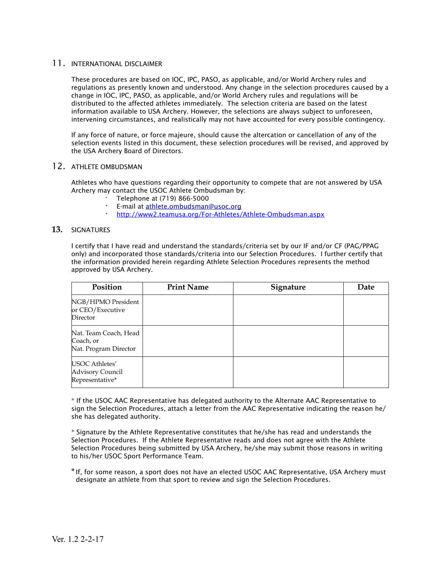#### 11. INTERNATIONAL DISCLAIMER

These procedures are based on IOC, IPC, PASO, as applicable, and/or World Archery rules and regulations as presently known and understood. Any change in the selection procedures caused by a change in IOC, IPC, PASO, as applicable, and/or World Archery rules and regulations will be distributed to the affected athletes immediately. The selection criteria are based on the latest information available to USA Archery. However, the selections are always subject to unforeseen, intervening circumstances, and realistically may not have accounted for every possible contingency.

If any force of nature, or force majeure, should cause the altercation or cancellation of any of the selection events listed in this document, these selection procedures will be revised, and approved by the USA Archery Board of Directors.

#### 12. ATHLETE OMBUDSMAN

Athletes who have questions regarding their opportunity to compete that are not answered by USA Archery may contact the USOC Athlete Ombudsman by:

- · Telephone at (719) 866-5000
- **·** E-mail at [athlete.ombudsman@usoc.org](mailto:athlete.ombudsman@usoc.org)
- **·** <http://www2.teamusa.org/For-Athletes/Athlete-Ombudsman.aspx>

#### **13.** SIGNATURES

I certify that I have read and understand the standards/criteria set by our IF and/or CF (PAG/PPAG only) and incorporated those standards/criteria into our Selection Procedures. I further certify that the information provided herein regarding Athlete Selection Procedures represents the method approved by USA Archery.

| Position                                                    | <b>Print Name</b> | Signature | Date |
|-------------------------------------------------------------|-------------------|-----------|------|
| NGB/HPMO President<br>or CEO/Executive<br>Director          |                   |           |      |
| Nat. Team Coach, Head<br>Coach, or<br>Nat. Program Director |                   |           |      |
| USOC Athletes'<br>Advisory Council<br>Representative*       |                   |           |      |

\* If the USOC AAC Representative has delegated authority to the Alternate AAC Representative to sign the Selection Procedures, attach a letter from the AAC Representative indicating the reason he/ she has delegated authority.

\* Signature by the Athlete Representative constitutes that he/she has read and understands the Selection Procedures. If the Athlete Representative reads and does not agree with the Athlete Selection Procedures being submitted by USA Archery, he/she may submit those reasons in writing to his/her USOC Sport Performance Team.

\*If, for some reason, a sport does not have an elected USOC AAC Representative, USA Archery must designate an athlete from that sport to review and sign the Selection Procedures.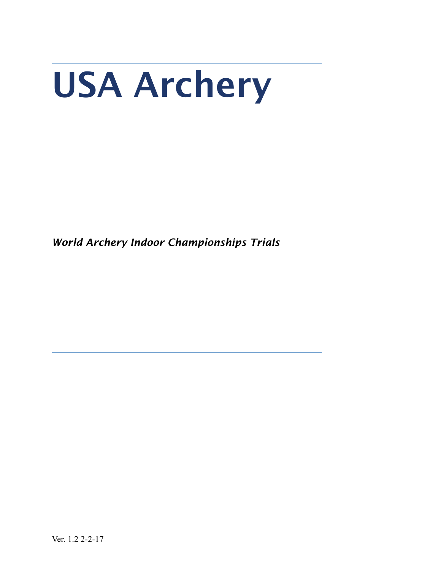# USA Archery

*World Archery Indoor Championships Trials*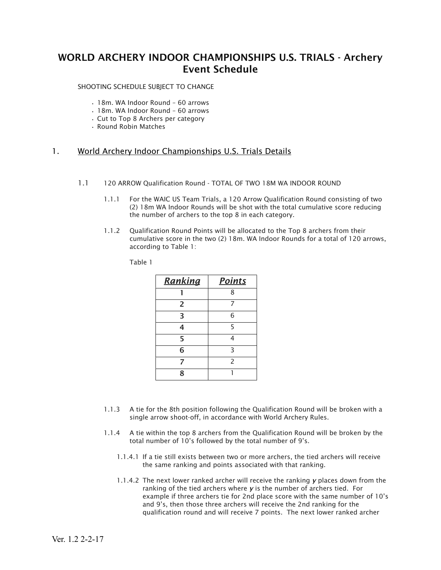### WORLD ARCHERY INDOOR CHAMPIONSHIPS U.S. TRIALS - Archery Event Schedule

SHOOTING SCHEDULE SUBJECT TO CHANGE

- 18m. WA Indoor Round 60 arrows
- 18m. WA Indoor Round 60 arrows
- Cut to Top 8 Archers per category
- Round Robin Matches

#### 1. World Archery Indoor Championships U.S. Trials Details

- 1.1 120 ARROW Qualification Round TOTAL OF TWO 18M WA INDOOR ROUND
	- 1.1.1 For the WAIC US Team Trials, a 120 Arrow Qualification Round consisting of two (2) 18m WA Indoor Rounds will be shot with the total cumulative score reducing the number of archers to the top 8 in each category.
	- 1.1.2 Qualification Round Points will be allocated to the Top 8 archers from their cumulative score in the two (2) 18m. WA Indoor Rounds for a total of 120 arrows, according to Table 1:

Table 1

| Ranking | <b>Points</b>            |  |
|---------|--------------------------|--|
|         | 8                        |  |
| 2       |                          |  |
| 3       | 6                        |  |
| 4       | 5                        |  |
| 5       | 4                        |  |
| 6       | З                        |  |
| 7       | $\overline{\phantom{0}}$ |  |
| 8       |                          |  |

- 1.1.3 A tie for the 8th position following the Qualification Round will be broken with a single arrow shoot-off, in accordance with World Archery Rules.
- 1.1.4 A tie within the top 8 archers from the Qualification Round will be broken by the total number of 10's followed by the total number of 9's.
	- 1.1.4.1 If a tie still exists between two or more archers, the tied archers will receive the same ranking and points associated with that ranking.
	- 1.1.4.2 The next lower ranked archer will receive the ranking *y* places down from the ranking of the tied archers where *y* is the number of archers tied. For example if three archers tie for 2nd place score with the same number of 10's and 9's, then those three archers will receive the 2nd ranking for the qualification round and will receive 7 points. The next lower ranked archer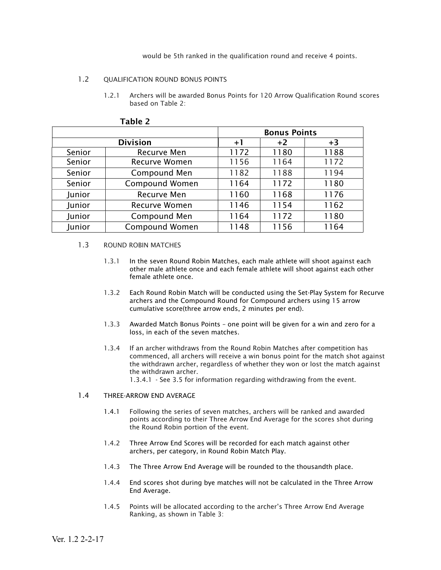would be 5th ranked in the qualification round and receive 4 points.

#### 1.2 OUALIFICATION ROUND BONUS POINTS

1.2.1 Archers will be awarded Bonus Points for 120 Arrow Qualification Round scores based on Table 2:

|                 |                       | <b>Bonus Points</b> |      |      |
|-----------------|-----------------------|---------------------|------|------|
| <b>Division</b> |                       | $+1$                | $+2$ | $+3$ |
| Senior          | Recurve Men           | 1172                | 1180 | 1188 |
| Senior          | <b>Recurve Women</b>  | 1156                | 1164 | 1172 |
| Senior          | Compound Men          | 1182                | 1188 | 1194 |
| Senior          | <b>Compound Women</b> | 1164                | 1172 | 1180 |
| Junior          | Recurve Men           | 1160                | 1168 | 1176 |
| Junior          | <b>Recurve Women</b>  | 1146                | 1154 | 1162 |
| Junior          | Compound Men          | 1164                | 1172 | 1180 |
| Junior          | <b>Compound Women</b> | 1148                | 1156 | 1164 |

#### Table 2

#### 1.3 ROUND ROBIN MATCHES

- 1.3.1 In the seven Round Robin Matches, each male athlete will shoot against each other male athlete once and each female athlete will shoot against each other female athlete once.
- 1.3.2 Each Round Robin Match will be conducted using the Set-Play System for Recurve archers and the Compound Round for Compound archers using 15 arrow cumulative score(three arrow ends, 2 minutes per end).
- 1.3.3 Awarded Match Bonus Points one point will be given for a win and zero for a loss, in each of the seven matches.
- 1.3.4 If an archer withdraws from the Round Robin Matches after competition has commenced, all archers will receive a win bonus point for the match shot against the withdrawn archer, regardless of whether they won or lost the match against the withdrawn archer.

1.3.4.1 - See 3.5 for information regarding withdrawing from the event.

#### 1.4 THREE-ARROW END AVERAGE

- 1.4.1 Following the series of seven matches, archers will be ranked and awarded points according to their Three Arrow End Average for the scores shot during the Round Robin portion of the event.
- 1.4.2 Three Arrow End Scores will be recorded for each match against other archers, per category, in Round Robin Match Play.
- 1.4.3 The Three Arrow End Average will be rounded to the thousandth place.
- 1.4.4 End scores shot during bye matches will not be calculated in the Three Arrow End Average.
- 1.4.5 Points will be allocated according to the archer's Three Arrow End Average Ranking, as shown in Table 3: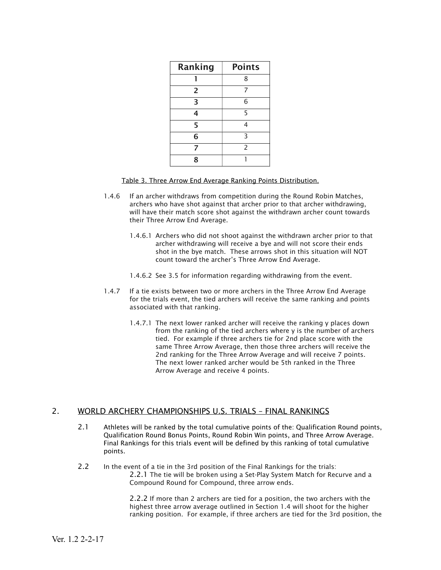| Ranking        | <b>Points</b>  |  |  |
|----------------|----------------|--|--|
|                | 8              |  |  |
| $\overline{2}$ | 7              |  |  |
| 3              | 6              |  |  |
| 4              | 5              |  |  |
| 5              | 4              |  |  |
| 6              | 3              |  |  |
| 7              | $\overline{2}$ |  |  |
| 8              |                |  |  |

Table 3. Three Arrow End Average Ranking Points Distribution.

- 1.4.6 If an archer withdraws from competition during the Round Robin Matches, archers who have shot against that archer prior to that archer withdrawing, will have their match score shot against the withdrawn archer count towards their Three Arrow End Average.
	- 1.4.6.1 Archers who did not shoot against the withdrawn archer prior to that archer withdrawing will receive a bye and will not score their ends shot in the bye match. These arrows shot in this situation will NOT count toward the archer's Three Arrow End Average.
	- 1.4.6.2 See 3.5 for information regarding withdrawing from the event.
- 1.4.7 If a tie exists between two or more archers in the Three Arrow End Average for the trials event, the tied archers will receive the same ranking and points associated with that ranking.
	- 1.4.7.1 The next lower ranked archer will receive the ranking y places down from the ranking of the tied archers where y is the number of archers tied. For example if three archers tie for 2nd place score with the same Three Arrow Average, then those three archers will receive the 2nd ranking for the Three Arrow Average and will receive 7 points. The next lower ranked archer would be 5th ranked in the Three Arrow Average and receive 4 points.

#### 2. WORLD ARCHERY CHAMPIONSHIPS U.S. TRIALS – FINAL RANKINGS

- 2.1 Athletes will be ranked by the total cumulative points of the: Qualification Round points, Qualification Round Bonus Points, Round Robin Win points, and Three Arrow Average. Final Rankings for this trials event will be defined by this ranking of total cumulative points.
- 2.2 In the event of a tie in the 3rd position of the Final Rankings for the trials: 2.2.1 The tie will be broken using a Set-Play System Match for Recurve and a Compound Round for Compound, three arrow ends.

2.2.2 If more than 2 archers are tied for a position, the two archers with the highest three arrow average outlined in Section 1.4 will shoot for the higher ranking position. For example, if three archers are tied for the 3rd position, the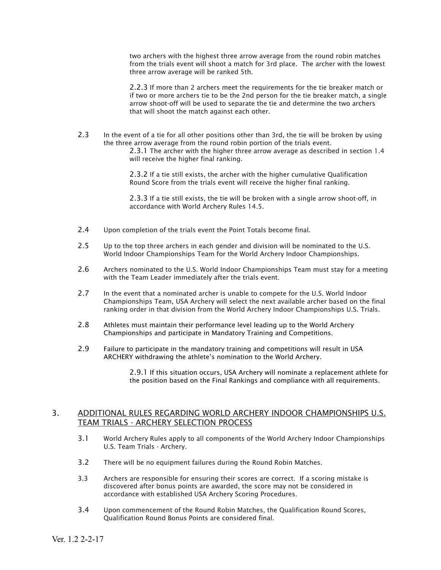two archers with the highest three arrow average from the round robin matches from the trials event will shoot a match for 3rd place. The archer with the lowest three arrow average will be ranked 5th.

2.2.3 If more than 2 archers meet the requirements for the tie breaker match or if two or more archers tie to be the 2nd person for the tie breaker match, a single arrow shoot-off will be used to separate the tie and determine the two archers that will shoot the match against each other.

2.3 In the event of a tie for all other positions other than 3rd, the tie will be broken by using the three arrow average from the round robin portion of the trials event.

2.3.1 The archer with the higher three arrow average as described in section 1.4 will receive the higher final ranking.

2.3.2 If a tie still exists, the archer with the higher cumulative Qualification Round Score from the trials event will receive the higher final ranking.

2.3.3 If a tie still exists, the tie will be broken with a single arrow shoot-off, in accordance with World Archery Rules 14.5.

- 2.4 Upon completion of the trials event the Point Totals become final.
- 2.5 Up to the top three archers in each gender and division will be nominated to the U.S. World Indoor Championships Team for the World Archery Indoor Championships.
- 2.6 Archers nominated to the U.S. World Indoor Championships Team must stay for a meeting with the Team Leader immediately after the trials event.
- 2.7 In the event that a nominated archer is unable to compete for the U.S. World Indoor Championships Team, USA Archery will select the next available archer based on the final ranking order in that division from the World Archery Indoor Championships U.S. Trials.
- 2.8 Athletes must maintain their performance level leading up to the World Archery Championships and participate in Mandatory Training and Competitions.
- 2.9 Failure to participate in the mandatory training and competitions will result in USA ARCHERY withdrawing the athlete's nomination to the World Archery.

2.9.1 If this situation occurs, USA Archery will nominate a replacement athlete for the position based on the Final Rankings and compliance with all requirements.

#### 3. ADDITIONAL RULES REGARDING WORLD ARCHERY INDOOR CHAMPIONSHIPS U.S. TEAM TRIALS - ARCHERY SELECTION PROCESS

- 3.1 World Archery Rules apply to all components of the World Archery Indoor Championships U.S. Team Trials - Archery.
- 3.2 There will be no equipment failures during the Round Robin Matches.
- 3.3 Archers are responsible for ensuring their scores are correct. If a scoring mistake is discovered after bonus points are awarded, the score may not be considered in accordance with established USA Archery Scoring Procedures.
- 3.4 Upon commencement of the Round Robin Matches, the Qualification Round Scores, Qualification Round Bonus Points are considered final.

Ver. 1.2 2-2-17